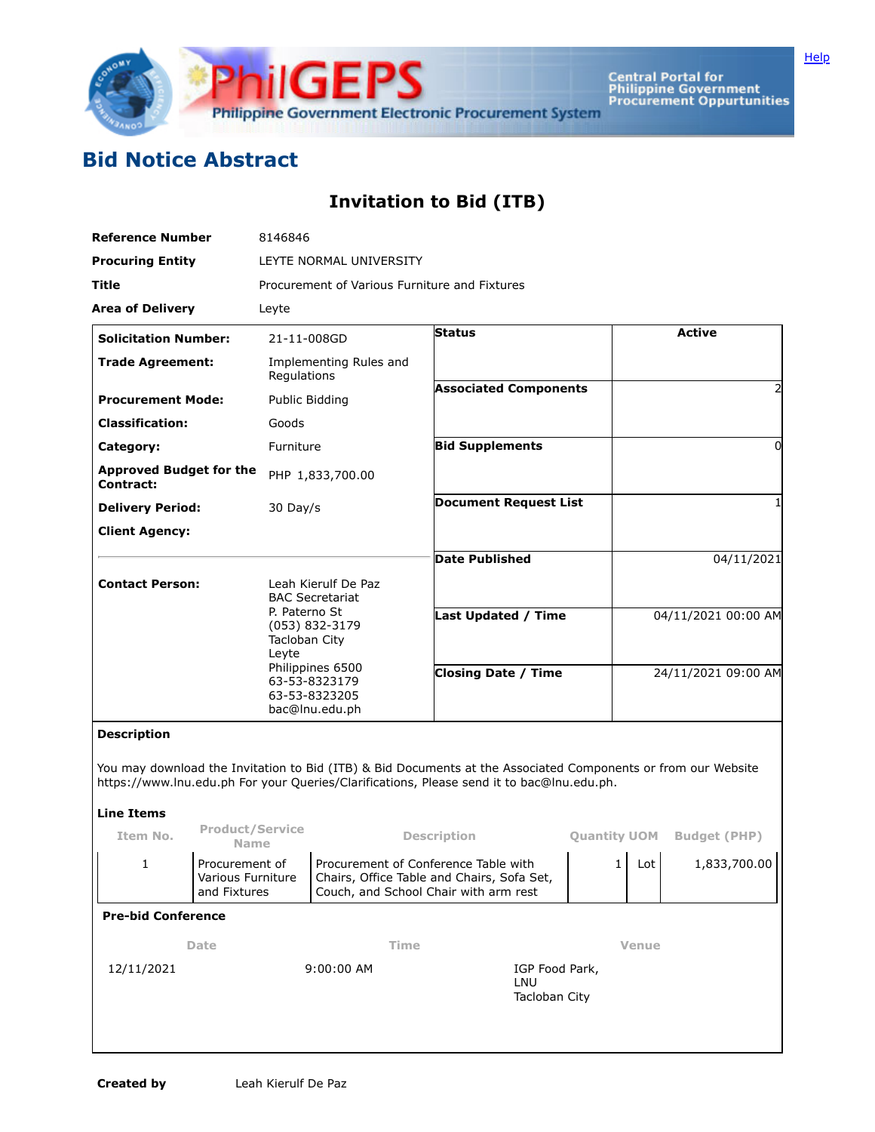

Central Portal for<br>Philippine Government<br>Procurement Oppurtunities

## **Bid Notice Abstract**

## **Invitation to Bid (ITB)**

| <b>Reference Number</b><br><b>Procuring Entity</b><br><b>Title</b> |                                                     | 8146846<br>LEYTE NORMAL UNIVERSITY<br>Procurement of Various Furniture and Fixtures                                                         |                     |                                                                                                                                                                                                            |                     |                     |                     |                             |  |             |  |               |  |  |               |
|--------------------------------------------------------------------|-----------------------------------------------------|---------------------------------------------------------------------------------------------------------------------------------------------|---------------------|------------------------------------------------------------------------------------------------------------------------------------------------------------------------------------------------------------|---------------------|---------------------|---------------------|-----------------------------|--|-------------|--|---------------|--|--|---------------|
|                                                                    |                                                     |                                                                                                                                             |                     |                                                                                                                                                                                                            |                     |                     |                     | <b>Area of Delivery</b>     |  | Leyte       |  |               |  |  |               |
|                                                                    |                                                     |                                                                                                                                             |                     |                                                                                                                                                                                                            |                     |                     |                     | <b>Solicitation Number:</b> |  | 21-11-008GD |  | <b>Status</b> |  |  | <b>Active</b> |
| <b>Trade Agreement:</b>                                            |                                                     | Implementing Rules and<br>Regulations                                                                                                       |                     |                                                                                                                                                                                                            |                     |                     |                     |                             |  |             |  |               |  |  |               |
| <b>Procurement Mode:</b>                                           |                                                     | Public Bidding                                                                                                                              |                     | <b>Associated Components</b>                                                                                                                                                                               |                     |                     |                     |                             |  |             |  |               |  |  |               |
| <b>Classification:</b>                                             |                                                     | Goods                                                                                                                                       |                     |                                                                                                                                                                                                            |                     |                     |                     |                             |  |             |  |               |  |  |               |
| Category:                                                          |                                                     | Furniture                                                                                                                                   |                     | <b>Bid Supplements</b>                                                                                                                                                                                     |                     |                     | 0                   |                             |  |             |  |               |  |  |               |
| <b>Approved Budget for the</b><br><b>Contract:</b>                 |                                                     | PHP 1,833,700.00                                                                                                                            |                     |                                                                                                                                                                                                            |                     |                     |                     |                             |  |             |  |               |  |  |               |
| <b>Delivery Period:</b>                                            |                                                     | 30 Day/s                                                                                                                                    |                     | <b>Document Request List</b>                                                                                                                                                                               |                     |                     |                     |                             |  |             |  |               |  |  |               |
| <b>Client Agency:</b>                                              |                                                     |                                                                                                                                             |                     |                                                                                                                                                                                                            |                     |                     |                     |                             |  |             |  |               |  |  |               |
|                                                                    |                                                     |                                                                                                                                             |                     | <b>Date Published</b>                                                                                                                                                                                      |                     |                     | 04/11/2021          |                             |  |             |  |               |  |  |               |
| <b>Contact Person:</b>                                             |                                                     |                                                                                                                                             | Leah Kierulf De Paz |                                                                                                                                                                                                            |                     |                     |                     |                             |  |             |  |               |  |  |               |
|                                                                    |                                                     | <b>BAC Secretariat</b><br>P. Paterno St<br>$(053)$ 832-3179<br>Tacloban City<br>Leyte<br>Philippines 6500<br>63-53-8323179<br>63-53-8323205 |                     |                                                                                                                                                                                                            |                     |                     |                     |                             |  |             |  |               |  |  |               |
|                                                                    |                                                     |                                                                                                                                             |                     | <b>Last Updated / Time</b>                                                                                                                                                                                 |                     | 04/11/2021 00:00 AM |                     |                             |  |             |  |               |  |  |               |
|                                                                    |                                                     |                                                                                                                                             |                     |                                                                                                                                                                                                            |                     |                     |                     |                             |  |             |  |               |  |  |               |
|                                                                    |                                                     |                                                                                                                                             |                     | <b>Closing Date / Time</b>                                                                                                                                                                                 |                     | 24/11/2021 09:00 AM |                     |                             |  |             |  |               |  |  |               |
|                                                                    |                                                     |                                                                                                                                             | bac@lnu.edu.ph      |                                                                                                                                                                                                            |                     |                     |                     |                             |  |             |  |               |  |  |               |
| <b>Description</b>                                                 |                                                     |                                                                                                                                             |                     |                                                                                                                                                                                                            |                     |                     |                     |                             |  |             |  |               |  |  |               |
|                                                                    |                                                     |                                                                                                                                             |                     | You may download the Invitation to Bid (ITB) & Bid Documents at the Associated Components or from our Website<br>https://www.lnu.edu.ph For your Queries/Clarifications, Please send it to bac@lnu.edu.ph. |                     |                     |                     |                             |  |             |  |               |  |  |               |
| <b>Line Items</b>                                                  | <b>Product/Service</b>                              |                                                                                                                                             |                     |                                                                                                                                                                                                            |                     |                     |                     |                             |  |             |  |               |  |  |               |
| Item No.                                                           | <b>Name</b>                                         |                                                                                                                                             |                     | <b>Description</b>                                                                                                                                                                                         | <b>Quantity UOM</b> |                     | <b>Budget (PHP)</b> |                             |  |             |  |               |  |  |               |
| 1                                                                  | Procurement of<br>Various Furniture<br>and Fixtures |                                                                                                                                             |                     | Procurement of Conference Table with<br>Chairs, Office Table and Chairs, Sofa Set,<br>Couch, and School Chair with arm rest                                                                                | 1 <sub>1</sub>      | Lot                 | 1,833,700.00        |                             |  |             |  |               |  |  |               |
| <b>Pre-bid Conference</b>                                          |                                                     |                                                                                                                                             |                     |                                                                                                                                                                                                            |                     |                     |                     |                             |  |             |  |               |  |  |               |
|                                                                    | Date                                                | Time                                                                                                                                        |                     |                                                                                                                                                                                                            |                     | <b>Venue</b>        |                     |                             |  |             |  |               |  |  |               |
| 12/11/2021                                                         |                                                     |                                                                                                                                             | 9:00:00 AM          | IGP Food Park,                                                                                                                                                                                             |                     |                     |                     |                             |  |             |  |               |  |  |               |
|                                                                    |                                                     | LNU<br>Tacloban City                                                                                                                        |                     |                                                                                                                                                                                                            |                     |                     |                     |                             |  |             |  |               |  |  |               |
|                                                                    |                                                     |                                                                                                                                             |                     |                                                                                                                                                                                                            |                     |                     |                     |                             |  |             |  |               |  |  |               |
|                                                                    |                                                     |                                                                                                                                             |                     |                                                                                                                                                                                                            |                     |                     |                     |                             |  |             |  |               |  |  |               |